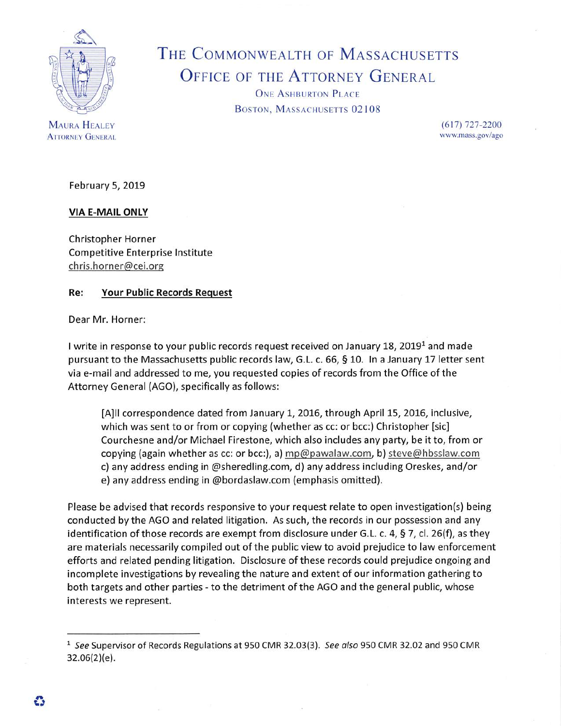

**MAURA HEALEY ATTORNEY GENERAL** 

## THE COMMONWEALTH OF MASSACHUSETTS OFFICE OF THE ATTORNEY GENERAL

ONE ASHBURTON PLACE BOSTON, MASSACHUSETTS 02108

> $(617)$  727-2200 [www.mass.gov/ago](http://www.mass.gov/ago)

February 5, 2019

## **VIA E-MAIL ONLY**

Christopher Horner Competitive Enterprise Institute [chris.homer@cei.org](mailto:chris.homer@cei.org)

## **Re: Your Public Records Request**

Dear Mr. Horner:

I write in response to your public records request received on January 18, 2019<sup>1</sup> and made pursuant to the Massachusetts public records law, G.L. c. 66, § 10. In <sup>a</sup> January 17 letter sent via e-mail and addressed to me, you requested copies of records from the Office of the Attorney General (AGO), specifically as follows:

[A]ll correspondence dated from January 1, 2016, through April 15, 2016, inclusive, which was sent to or from or copying (whether as cc: or bcc:) Christopher [sic] Courchesne and/or Michael Firestone, which also includes any party, be it to, from or copying (again whether as cc: or bcc:), a) [mp@pawalaw.com](mailto:mp@pawalaw.com), b) [steve@hbsslaw.com](mailto:steve@hbsslaw.com) c) any address ending in @sheredling.com, d) any address including Oreskes, and/or e) any address ending in @bordaslaw.com (emphasis omitted).

Please be advised that records responsive to your request relate to open investigation(s) being conducted by the AGO and related litigation. As such, the records in our possession and any identification of those records are exempt from disclosure under G.L. c. 4, § 7, cl. 26(f), as they are materials necessarily compiled out of the public view to avoid prejudice to law enforcement efforts and related pending litigation. Disclosure of these records could prejudice ongoing and incomplete investigations by revealing the nature and extent of our information gathering to both targets and other parties - to the detriment of the AGO and the general public, whose interests we represent.

<sup>1</sup> *See* Supervisor of Records Regulations at 950 CMR 32.03(3). *See also* 950 CMR 32.02 and 950 CMR 32.06(2)(e).